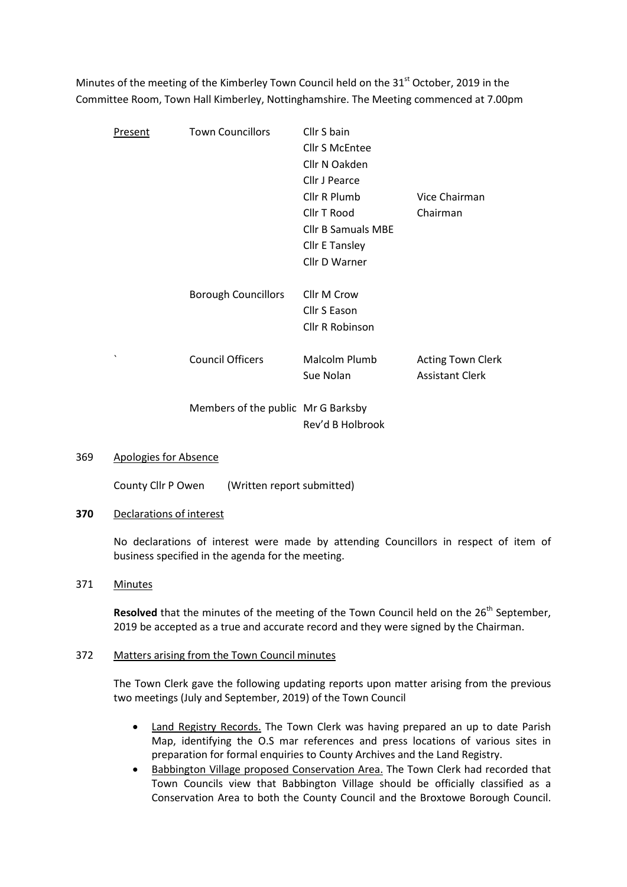Minutes of the meeting of the Kimberley Town Council held on the 31<sup>st</sup> October, 2019 in the Committee Room, Town Hall Kimberley, Nottinghamshire. The Meeting commenced at 7.00pm

| Present               | <b>Town Councillors</b>            | Cllr S bain               |                          |
|-----------------------|------------------------------------|---------------------------|--------------------------|
|                       |                                    | <b>Cllr S McEntee</b>     |                          |
|                       |                                    | Cllr N Oakden             |                          |
|                       |                                    | Cllr J Pearce             |                          |
|                       |                                    | Cllr R Plumb              | Vice Chairman            |
|                       |                                    | Cllr T Rood               | Chairman                 |
|                       |                                    | <b>Cllr B Samuals MBE</b> |                          |
|                       |                                    | <b>Cllr E Tansley</b>     |                          |
|                       |                                    | Cllr D Warner             |                          |
|                       |                                    |                           |                          |
|                       | <b>Borough Councillors</b>         | Cllr M Crow               |                          |
|                       |                                    | Cllr S Eason              |                          |
|                       |                                    | <b>Cllr R Robinson</b>    |                          |
|                       |                                    |                           |                          |
| $\tilde{\phantom{a}}$ | <b>Council Officers</b>            | Malcolm Plumb             | <b>Acting Town Clerk</b> |
|                       |                                    | Sue Nolan                 | <b>Assistant Clerk</b>   |
|                       |                                    |                           |                          |
|                       | Members of the public Mr G Barksby |                           |                          |
|                       |                                    | Rev'd B Holbrook          |                          |

#### 369 Apologies for Absence

County Cllr P Owen (Written report submitted)

## 370 Declarations of interest

No declarations of interest were made by attending Councillors in respect of item of business specified in the agenda for the meeting.

# 371 Minutes

Resolved that the minutes of the meeting of the Town Council held on the  $26<sup>th</sup>$  September, 2019 be accepted as a true and accurate record and they were signed by the Chairman.

## 372 Matters arising from the Town Council minutes

The Town Clerk gave the following updating reports upon matter arising from the previous two meetings (July and September, 2019) of the Town Council

- Land Registry Records. The Town Clerk was having prepared an up to date Parish Map, identifying the O.S mar references and press locations of various sites in preparation for formal enquiries to County Archives and the Land Registry.
- Babbington Village proposed Conservation Area. The Town Clerk had recorded that Town Councils view that Babbington Village should be officially classified as a Conservation Area to both the County Council and the Broxtowe Borough Council.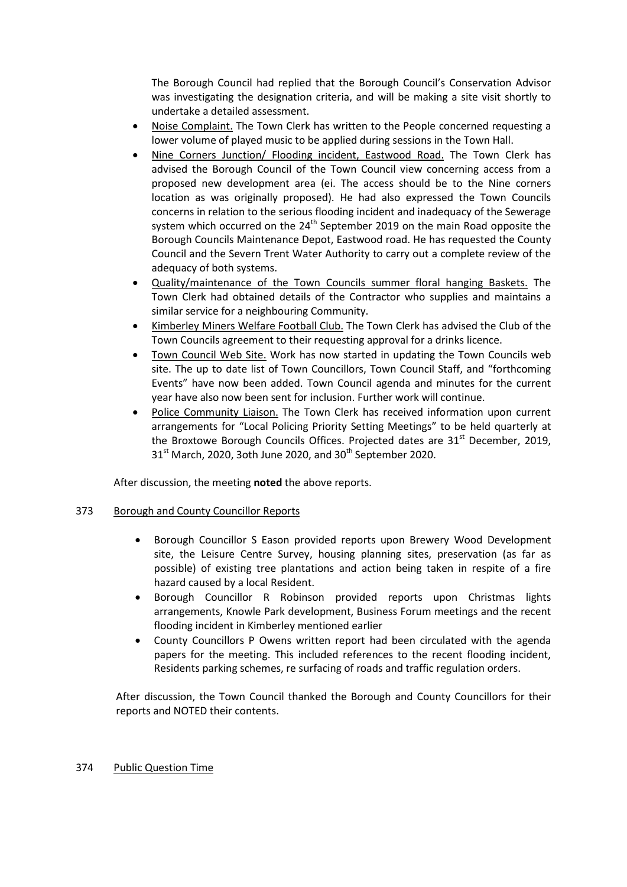The Borough Council had replied that the Borough Council's Conservation Advisor was investigating the designation criteria, and will be making a site visit shortly to undertake a detailed assessment.

- Noise Complaint. The Town Clerk has written to the People concerned requesting a lower volume of played music to be applied during sessions in the Town Hall.
- Nine Corners Junction/ Flooding incident, Eastwood Road. The Town Clerk has advised the Borough Council of the Town Council view concerning access from a proposed new development area (ei. The access should be to the Nine corners location as was originally proposed). He had also expressed the Town Councils concerns in relation to the serious flooding incident and inadequacy of the Sewerage system which occurred on the  $24<sup>th</sup>$  September 2019 on the main Road opposite the Borough Councils Maintenance Depot, Eastwood road. He has requested the County Council and the Severn Trent Water Authority to carry out a complete review of the adequacy of both systems.
- Quality/maintenance of the Town Councils summer floral hanging Baskets. The Town Clerk had obtained details of the Contractor who supplies and maintains a similar service for a neighbouring Community.
- Kimberley Miners Welfare Football Club. The Town Clerk has advised the Club of the Town Councils agreement to their requesting approval for a drinks licence.
- Town Council Web Site. Work has now started in updating the Town Councils web site. The up to date list of Town Councillors, Town Council Staff, and "forthcoming Events" have now been added. Town Council agenda and minutes for the current year have also now been sent for inclusion. Further work will continue.
- Police Community Liaison. The Town Clerk has received information upon current arrangements for "Local Policing Priority Setting Meetings" to be held quarterly at the Broxtowe Borough Councils Offices. Projected dates are  $31<sup>st</sup>$  December, 2019,  $31<sup>st</sup>$  March, 2020, 3oth June 2020, and 30<sup>th</sup> September 2020.

After discussion, the meeting noted the above reports.

# 373 Borough and County Councillor Reports

- Borough Councillor S Eason provided reports upon Brewery Wood Development site, the Leisure Centre Survey, housing planning sites, preservation (as far as possible) of existing tree plantations and action being taken in respite of a fire hazard caused by a local Resident.
- Borough Councillor R Robinson provided reports upon Christmas lights arrangements, Knowle Park development, Business Forum meetings and the recent flooding incident in Kimberley mentioned earlier
- County Councillors P Owens written report had been circulated with the agenda papers for the meeting. This included references to the recent flooding incident, Residents parking schemes, re surfacing of roads and traffic regulation orders.

After discussion, the Town Council thanked the Borough and County Councillors for their reports and NOTED their contents.

# 374 Public Question Time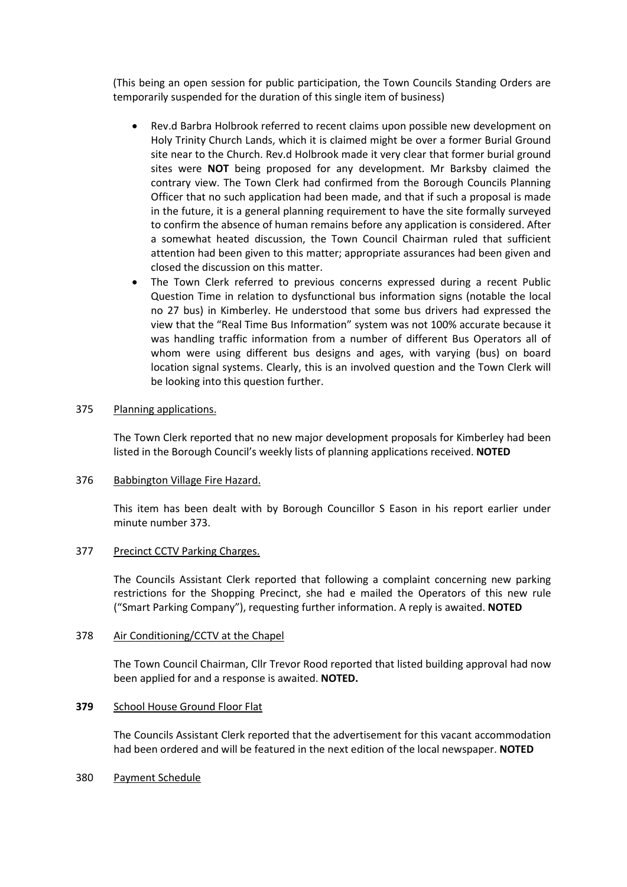(This being an open session for public participation, the Town Councils Standing Orders are temporarily suspended for the duration of this single item of business)

- Rev.d Barbra Holbrook referred to recent claims upon possible new development on Holy Trinity Church Lands, which it is claimed might be over a former Burial Ground site near to the Church. Rev.d Holbrook made it very clear that former burial ground sites were NOT being proposed for any development. Mr Barksby claimed the contrary view. The Town Clerk had confirmed from the Borough Councils Planning Officer that no such application had been made, and that if such a proposal is made in the future, it is a general planning requirement to have the site formally surveyed to confirm the absence of human remains before any application is considered. After a somewhat heated discussion, the Town Council Chairman ruled that sufficient attention had been given to this matter; appropriate assurances had been given and closed the discussion on this matter.
- The Town Clerk referred to previous concerns expressed during a recent Public Question Time in relation to dysfunctional bus information signs (notable the local no 27 bus) in Kimberley. He understood that some bus drivers had expressed the view that the "Real Time Bus Information" system was not 100% accurate because it was handling traffic information from a number of different Bus Operators all of whom were using different bus designs and ages, with varying (bus) on board location signal systems. Clearly, this is an involved question and the Town Clerk will be looking into this question further.

# 375 Planning applications.

The Town Clerk reported that no new major development proposals for Kimberley had been listed in the Borough Council's weekly lists of planning applications received. NOTED

## 376 Babbington Village Fire Hazard.

This item has been dealt with by Borough Councillor S Eason in his report earlier under minute number 373.

#### 377 Precinct CCTV Parking Charges.

The Councils Assistant Clerk reported that following a complaint concerning new parking restrictions for the Shopping Precinct, she had e mailed the Operators of this new rule ("Smart Parking Company"), requesting further information. A reply is awaited. NOTED

# 378 Air Conditioning/CCTV at the Chapel

The Town Council Chairman, Cllr Trevor Rood reported that listed building approval had now been applied for and a response is awaited. **NOTED.** 

#### 379 School House Ground Floor Flat

The Councils Assistant Clerk reported that the advertisement for this vacant accommodation had been ordered and will be featured in the next edition of the local newspaper. NOTED

#### 380 Payment Schedule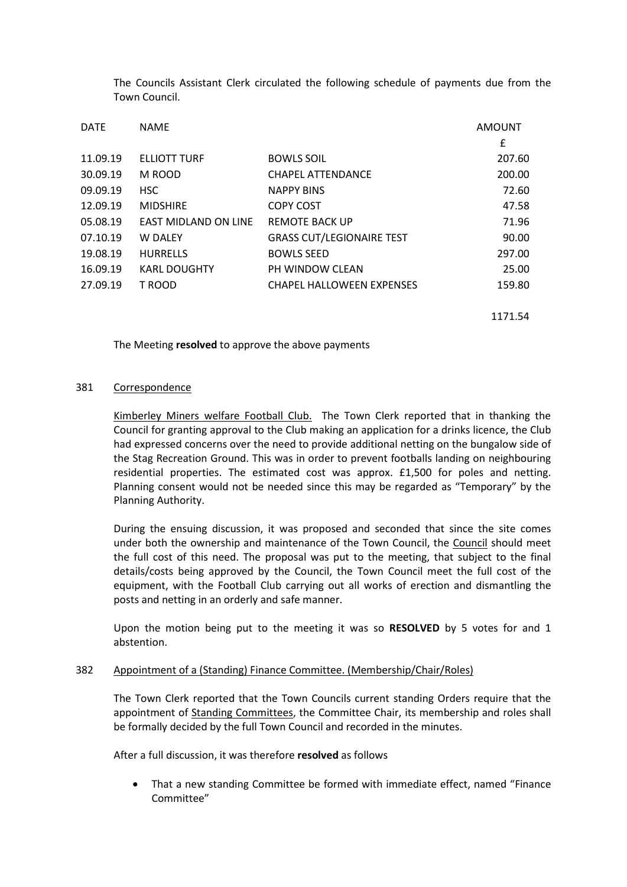The Councils Assistant Clerk circulated the following schedule of payments due from the Town Council.

| <b>DATE</b> | <b>NAME</b>                 | <b>AMOUNT</b>                    |        |
|-------------|-----------------------------|----------------------------------|--------|
|             |                             |                                  | £      |
| 11.09.19    | ELLIOTT TURF                | <b>BOWLS SOIL</b>                | 207.60 |
| 30.09.19    | M ROOD                      | CHAPEL ATTENDANCE                | 200.00 |
| 09.09.19    | <b>HSC</b>                  | <b>NAPPY BINS</b>                | 72.60  |
| 12.09.19    | <b>MIDSHIRE</b>             | <b>COPY COST</b>                 | 47.58  |
| 05.08.19    | <b>EAST MIDLAND ON LINE</b> | <b>REMOTE BACK UP</b>            | 71.96  |
| 07.10.19    | <b>W DALEY</b>              | <b>GRASS CUT/LEGIONAIRE TEST</b> | 90.00  |
| 19.08.19    | <b>HURRELLS</b>             | <b>BOWLS SEED</b>                | 297.00 |
| 16.09.19    | <b>KARL DOUGHTY</b>         | PH WINDOW CLEAN                  | 25.00  |
| 27.09.19    | T ROOD                      | <b>CHAPEL HALLOWEEN EXPENSES</b> | 159.80 |
|             |                             |                                  |        |

1171.54

The Meeting resolved to approve the above payments

## 381 Correspondence

Kimberley Miners welfare Football Club. The Town Clerk reported that in thanking the Council for granting approval to the Club making an application for a drinks licence, the Club had expressed concerns over the need to provide additional netting on the bungalow side of the Stag Recreation Ground. This was in order to prevent footballs landing on neighbouring residential properties. The estimated cost was approx. £1,500 for poles and netting. Planning consent would not be needed since this may be regarded as "Temporary" by the Planning Authority.

During the ensuing discussion, it was proposed and seconded that since the site comes under both the ownership and maintenance of the Town Council, the Council should meet the full cost of this need. The proposal was put to the meeting, that subject to the final details/costs being approved by the Council, the Town Council meet the full cost of the equipment, with the Football Club carrying out all works of erection and dismantling the posts and netting in an orderly and safe manner.

Upon the motion being put to the meeting it was so RESOLVED by 5 votes for and 1 abstention.

#### 382 Appointment of a (Standing) Finance Committee. (Membership/Chair/Roles)

The Town Clerk reported that the Town Councils current standing Orders require that the appointment of Standing Committees, the Committee Chair, its membership and roles shall be formally decided by the full Town Council and recorded in the minutes.

After a full discussion, it was therefore resolved as follows

 That a new standing Committee be formed with immediate effect, named "Finance Committee"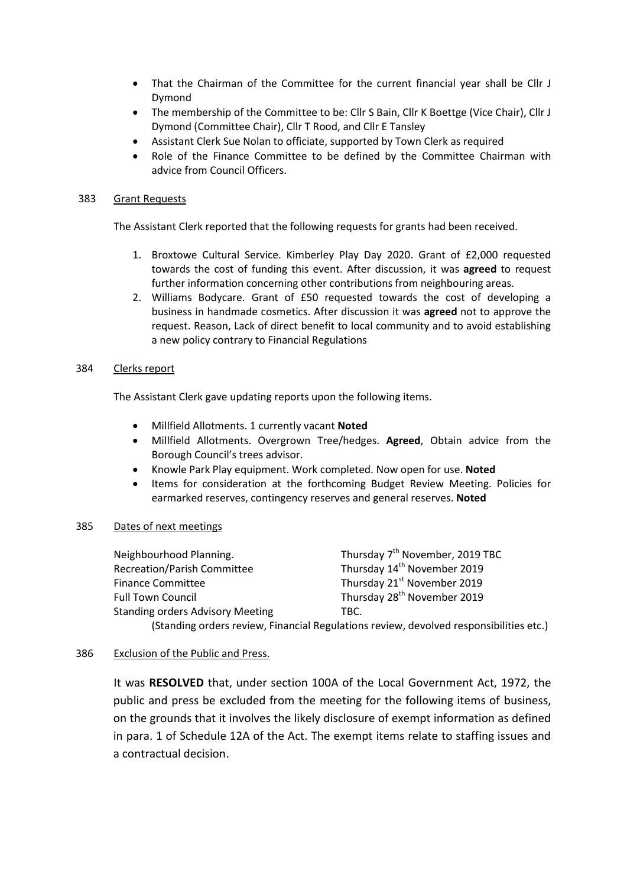- That the Chairman of the Committee for the current financial year shall be Cllr J Dymond
- The membership of the Committee to be: Cllr S Bain, Cllr K Boettge (Vice Chair), Cllr J Dymond (Committee Chair), Cllr T Rood, and Cllr E Tansley
- Assistant Clerk Sue Nolan to officiate, supported by Town Clerk as required
- Role of the Finance Committee to be defined by the Committee Chairman with advice from Council Officers.

## 383 Grant Requests

The Assistant Clerk reported that the following requests for grants had been received.

- 1. Broxtowe Cultural Service. Kimberley Play Day 2020. Grant of £2,000 requested towards the cost of funding this event. After discussion, it was agreed to request further information concerning other contributions from neighbouring areas.
- 2. Williams Bodycare. Grant of £50 requested towards the cost of developing a business in handmade cosmetics. After discussion it was agreed not to approve the request. Reason, Lack of direct benefit to local community and to avoid establishing a new policy contrary to Financial Regulations

## 384 Clerks report

The Assistant Clerk gave updating reports upon the following items.

- Millfield Allotments. 1 currently vacant Noted
- Millfield Allotments. Overgrown Tree/hedges. Agreed, Obtain advice from the Borough Council's trees advisor.
- Knowle Park Play equipment. Work completed. Now open for use. Noted
- Items for consideration at the forthcoming Budget Review Meeting. Policies for earmarked reserves, contingency reserves and general reserves. Noted

# 385 Dates of next meetings

| Neighbourhood Planning.                 | Thursday 7 <sup>th</sup> November, 2019 TBC                                   |
|-----------------------------------------|-------------------------------------------------------------------------------|
| <b>Recreation/Parish Committee</b>      | Thursday 14 <sup>th</sup> November 2019                                       |
| <b>Finance Committee</b>                | Thursday 21 <sup>st</sup> November 2019                                       |
| <b>Full Town Council</b>                | Thursday 28 <sup>th</sup> November 2019                                       |
| <b>Standing orders Advisory Meeting</b> | TBC.                                                                          |
|                                         | (Standing orders review Financial Requistions review devolved responsibilitie |

# (Standing orders review, Financial Regulations review, devolved responsibilities etc.)

# 386 Exclusion of the Public and Press.

It was RESOLVED that, under section 100A of the Local Government Act, 1972, the public and press be excluded from the meeting for the following items of business, on the grounds that it involves the likely disclosure of exempt information as defined in para. 1 of Schedule 12A of the Act. The exempt items relate to staffing issues and a contractual decision.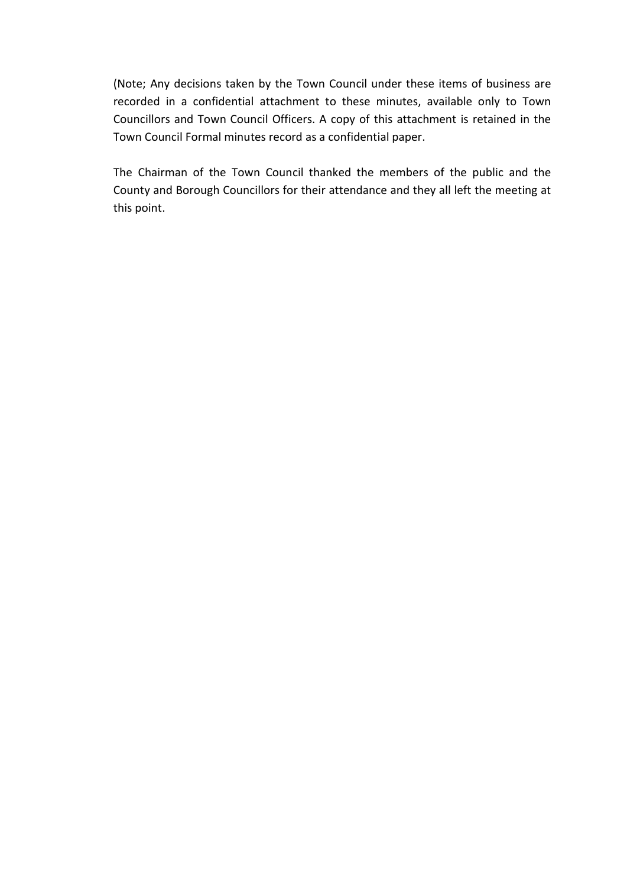(Note; Any decisions taken by the Town Council under these items of business are recorded in a confidential attachment to these minutes, available only to Town Councillors and Town Council Officers. A copy of this attachment is retained in the Town Council Formal minutes record as a confidential paper.

The Chairman of the Town Council thanked the members of the public and the County and Borough Councillors for their attendance and they all left the meeting at this point.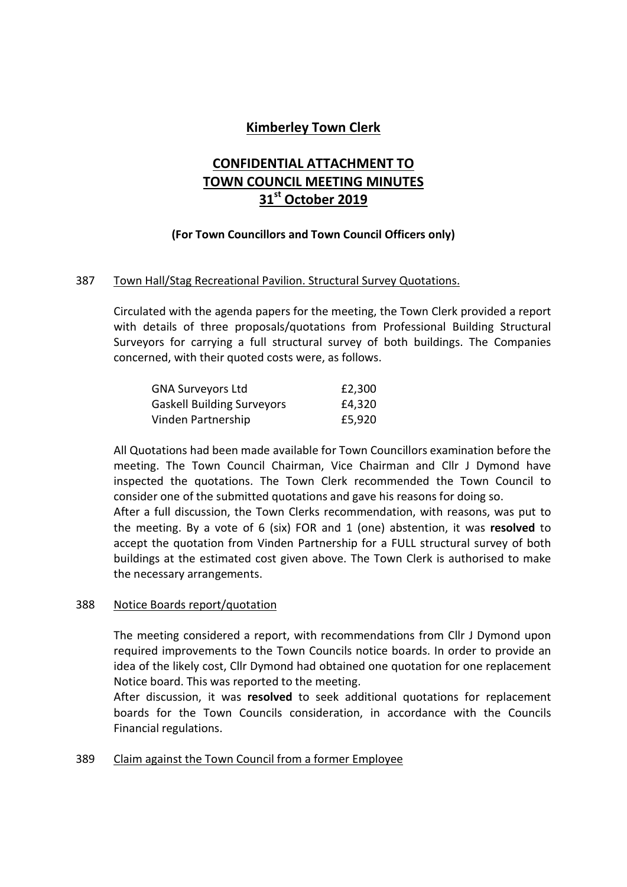# Kimberley Town Clerk

# CONFIDENTIAL ATTACHMENT TO TOWN COUNCIL MEETING MINUTES 31st October 2019

# (For Town Councillors and Town Council Officers only)

# 387 Town Hall/Stag Recreational Pavilion. Structural Survey Quotations.

Circulated with the agenda papers for the meeting, the Town Clerk provided a report with details of three proposals/quotations from Professional Building Structural Surveyors for carrying a full structural survey of both buildings. The Companies concerned, with their quoted costs were, as follows.

| <b>GNA Surveyors Ltd</b>          | £2,300 |
|-----------------------------------|--------|
| <b>Gaskell Building Surveyors</b> | £4,320 |
| Vinden Partnership                | £5,920 |

All Quotations had been made available for Town Councillors examination before the meeting. The Town Council Chairman, Vice Chairman and Cllr J Dymond have inspected the quotations. The Town Clerk recommended the Town Council to consider one of the submitted quotations and gave his reasons for doing so.

After a full discussion, the Town Clerks recommendation, with reasons, was put to the meeting. By a vote of 6 (six) FOR and 1 (one) abstention, it was resolved to accept the quotation from Vinden Partnership for a FULL structural survey of both buildings at the estimated cost given above. The Town Clerk is authorised to make the necessary arrangements.

# 388 Notice Boards report/quotation

The meeting considered a report, with recommendations from Cllr J Dymond upon required improvements to the Town Councils notice boards. In order to provide an idea of the likely cost, Cllr Dymond had obtained one quotation for one replacement Notice board. This was reported to the meeting.

After discussion, it was resolved to seek additional quotations for replacement boards for the Town Councils consideration, in accordance with the Councils Financial regulations.

# 389 Claim against the Town Council from a former Employee